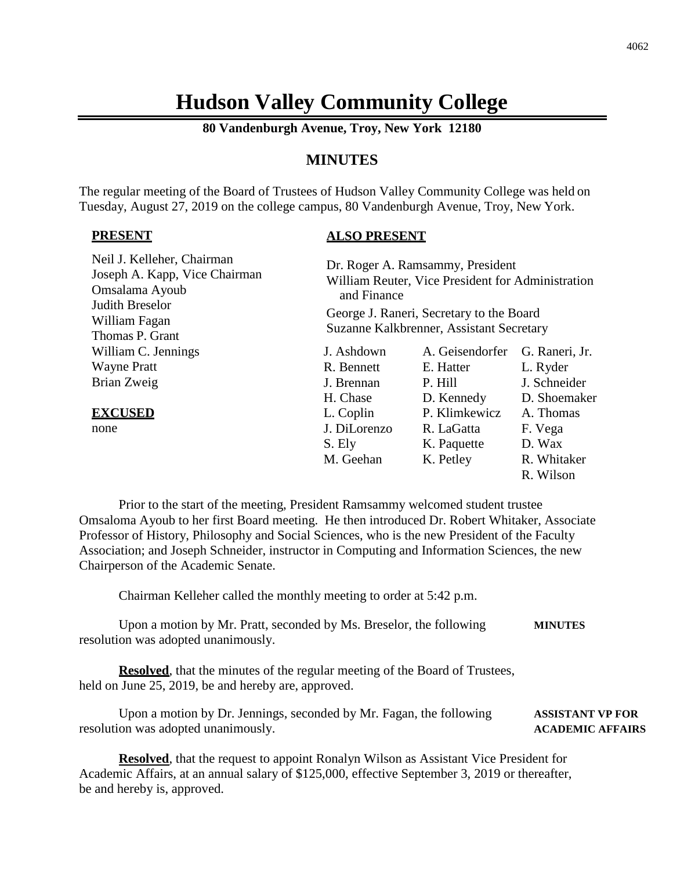# **Hudson Valley Community College**

**80 Vandenburgh Avenue, Troy, New York 12180**

# **MINUTES**

The regular meeting of the Board of Trustees of Hudson Valley Community College was held on Tuesday, August 27, 2019 on the college campus, 80 Vandenburgh Avenue, Troy, New York.

### **PRESENT**

# **ALSO PRESENT**

| Neil J. Kelleher, Chairman<br>Joseph A. Kapp, Vice Chairman<br>Omsalama Ayoub<br>Judith Breselor<br>William Fagan<br>Thomas P. Grant | Dr. Roger A. Ramsammy, President<br>William Reuter, Vice President for Administration<br>and Finance<br>George J. Raneri, Secretary to the Board<br>Suzanne Kalkbrenner, Assistant Secretary |                 |                |
|--------------------------------------------------------------------------------------------------------------------------------------|----------------------------------------------------------------------------------------------------------------------------------------------------------------------------------------------|-----------------|----------------|
| William C. Jennings                                                                                                                  | J. Ashdown                                                                                                                                                                                   | A. Geisendorfer | G. Raneri, Jr. |
| <b>Wayne Pratt</b>                                                                                                                   | R. Bennett                                                                                                                                                                                   | E. Hatter       | L. Ryder       |
| Brian Zweig                                                                                                                          | J. Brennan                                                                                                                                                                                   | P. Hill         | J. Schneider   |
|                                                                                                                                      | H. Chase                                                                                                                                                                                     | D. Kennedy      | D. Shoemaker   |
| <b>EXCUSED</b>                                                                                                                       | L. Coplin                                                                                                                                                                                    | P. Klimkewicz   | A. Thomas      |
| none                                                                                                                                 | J. DiLorenzo                                                                                                                                                                                 | R. LaGatta      | F. Vega        |
|                                                                                                                                      | S. Ely                                                                                                                                                                                       | K. Paquette     | D. Wax         |
|                                                                                                                                      | M. Geehan                                                                                                                                                                                    | K. Petley       | R. Whitaker    |
|                                                                                                                                      |                                                                                                                                                                                              |                 | R. Wilson      |

Prior to the start of the meeting, President Ramsammy welcomed student trustee Omsaloma Ayoub to her first Board meeting. He then introduced Dr. Robert Whitaker, Associate Professor of History, Philosophy and Social Sciences, who is the new President of the Faculty Association; and Joseph Schneider, instructor in Computing and Information Sciences, the new Chairperson of the Academic Senate.

Chairman Kelleher called the monthly meeting to order at 5:42 p.m.

Upon a motion by Mr. Pratt, seconded by Ms. Breselor, the following **MINUTES** resolution was adopted unanimously.

**Resolved**, that the minutes of the regular meeting of the Board of Trustees, held on June 25, 2019, be and hereby are, approved.

Upon a motion by Dr. Jennings, seconded by Mr. Fagan, the following **ASSISTANT VP** FOR resolution was adopted unanimously. **ACADEMIC AFFAIRS**

**Resolved**, that the request to appoint Ronalyn Wilson as Assistant Vice President for Academic Affairs, at an annual salary of \$125,000, effective September 3, 2019 or thereafter, be and hereby is, approved.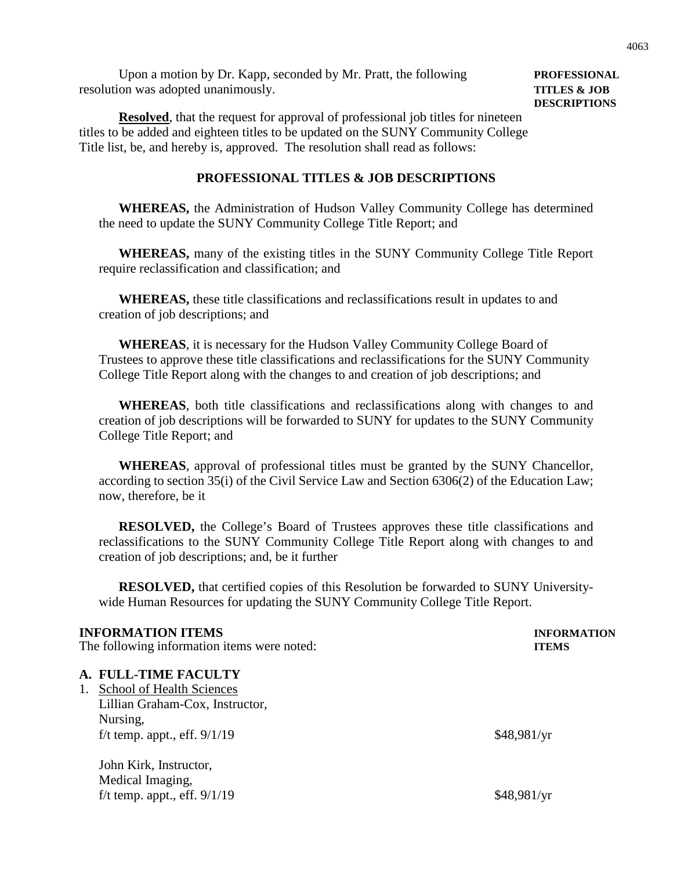Upon a motion by Dr. Kapp, seconded by Mr. Pratt, the following **PROFESSIONAL** resolution was adopted unanimously. **TITLES & JOB**

**DESCRIPTIONS**

**Resolved**, that the request for approval of professional job titles for nineteen titles to be added and eighteen titles to be updated on the SUNY Community College Title list, be, and hereby is, approved. The resolution shall read as follows:

### **PROFESSIONAL TITLES & JOB DESCRIPTIONS**

**WHEREAS,** the Administration of Hudson Valley Community College has determined the need to update the SUNY Community College Title Report; and

**WHEREAS,** many of the existing titles in the SUNY Community College Title Report require reclassification and classification; and

**WHEREAS,** these title classifications and reclassifications result in updates to and creation of job descriptions; and

**WHEREAS**, it is necessary for the Hudson Valley Community College Board of Trustees to approve these title classifications and reclassifications for the SUNY Community College Title Report along with the changes to and creation of job descriptions; and

**WHEREAS**, both title classifications and reclassifications along with changes to and creation of job descriptions will be forwarded to SUNY for updates to the SUNY Community College Title Report; and

**WHEREAS**, approval of professional titles must be granted by the SUNY Chancellor, according to section 35(i) of the Civil Service Law and Section 6306(2) of the Education Law; now, therefore, be it

**RESOLVED,** the College's Board of Trustees approves these title classifications and reclassifications to the SUNY Community College Title Report along with changes to and creation of job descriptions; and, be it further

**RESOLVED,** that certified copies of this Resolution be forwarded to SUNY Universitywide Human Resources for updating the SUNY Community College Title Report.

### **INFORMATION ITEMS INFORMATION**

The following information items were noted: **ITEMS**

### **A. FULL-TIME FACULTY**

1. School of Health Sciences Lillian Graham-Cox, Instructor, Nursing, f/t temp. appt., eff.  $9/1/19$  \$48,981/yr

John Kirk, Instructor, Medical Imaging, f/t temp. appt., eff.  $9/1/19$  \$48,981/yr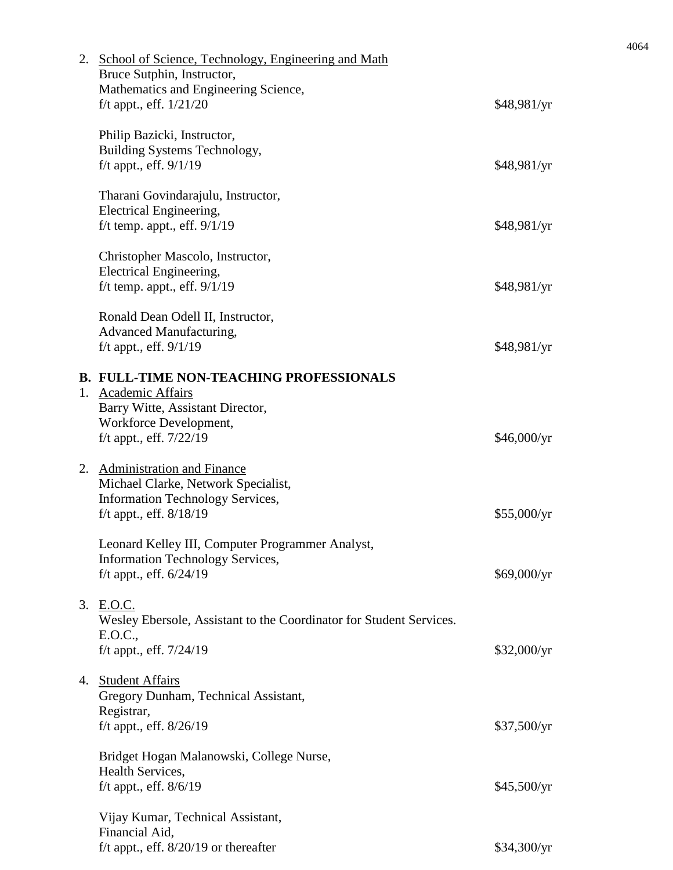| 2. School of Science, Technology, Engineering and Math<br>Bruce Sutphin, Instructor, |             |
|--------------------------------------------------------------------------------------|-------------|
| Mathematics and Engineering Science,<br>f/t appt., eff. $1/21/20$                    | \$48,981/yr |
| Philip Bazicki, Instructor,                                                          |             |
| Building Systems Technology,<br>$f/t$ appt., eff. $9/1/19$                           | \$48,981/yr |
| Tharani Govindarajulu, Instructor,                                                   |             |
| Electrical Engineering,                                                              |             |
| $f/t$ temp. appt., eff. $9/1/19$                                                     | \$48,981/yr |
| Christopher Mascolo, Instructor,                                                     |             |
| Electrical Engineering,                                                              |             |
| $f/t$ temp. appt., eff. $9/1/19$                                                     | \$48,981/yr |
| Ronald Dean Odell II, Instructor,                                                    |             |
| Advanced Manufacturing,                                                              |             |
| f/t appt., eff. $9/1/19$                                                             | \$48,981/yr |
| <b>B. FULL-TIME NON-TEACHING PROFESSIONALS</b>                                       |             |
| 1. Academic Affairs                                                                  |             |
| Barry Witte, Assistant Director,                                                     |             |
| Workforce Development,                                                               |             |
| f/t appt., eff. $7/22/19$                                                            | \$46,000/yr |
| 2. Administration and Finance                                                        |             |
| Michael Clarke, Network Specialist,                                                  |             |
| <b>Information Technology Services,</b>                                              |             |
| $f/t$ appt., eff. $8/18/19$                                                          | \$55,000/yr |
| Leonard Kelley III, Computer Programmer Analyst,                                     |             |
| <b>Information Technology Services,</b>                                              |             |
| f/t appt., eff. $6/24/19$                                                            | \$69,000/yr |
| 3. E.O.C.                                                                            |             |
| Wesley Ebersole, Assistant to the Coordinator for Student Services.                  |             |
| E.O.C.,                                                                              |             |
| f/t appt., eff. $7/24/19$                                                            | \$32,000/yr |
| 4. Student Affairs                                                                   |             |
| Gregory Dunham, Technical Assistant,                                                 |             |
| Registrar,                                                                           |             |
| f/t appt., eff. $8/26/19$                                                            | \$37,500/yr |
| Bridget Hogan Malanowski, College Nurse,                                             |             |
| Health Services,                                                                     |             |
| f/t appt., eff. $8/6/19$                                                             | \$45,500/yr |
| Vijay Kumar, Technical Assistant,                                                    |             |
| Financial Aid,                                                                       |             |
| f/t appt., eff. $8/20/19$ or thereafter                                              | \$34,300/yr |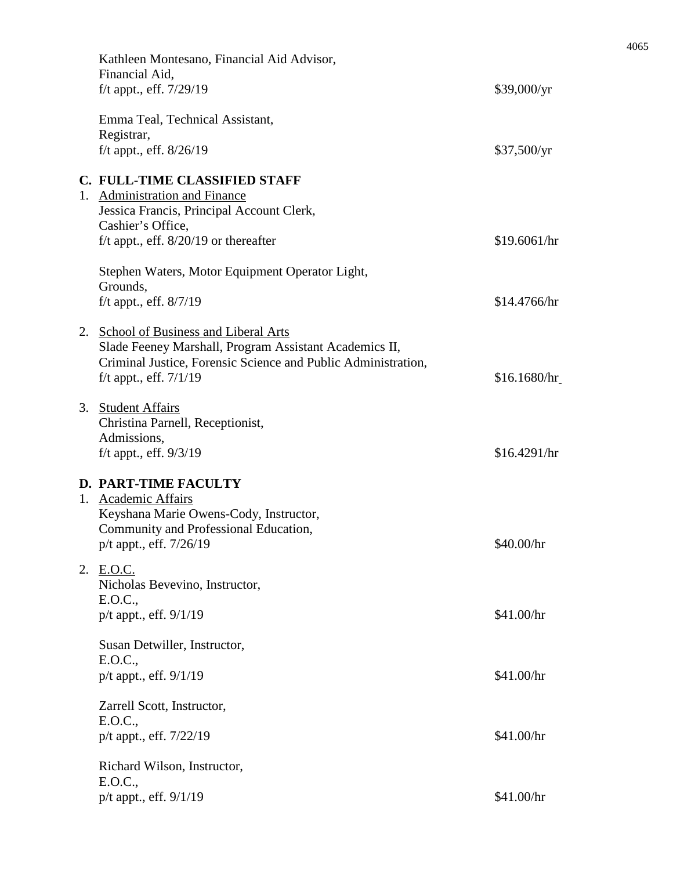| Kathleen Montesano, Financial Aid Advisor,<br>Financial Aid,<br>f/t appt., eff. $7/29/19$                                                                                                     | \$39,000/yr  |
|-----------------------------------------------------------------------------------------------------------------------------------------------------------------------------------------------|--------------|
| Emma Teal, Technical Assistant,<br>Registrar,<br>f/t appt., eff. $8/26/19$                                                                                                                    | \$37,500/yr  |
| C. FULL-TIME CLASSIFIED STAFF<br>1. Administration and Finance<br>Jessica Francis, Principal Account Clerk,<br>Cashier's Office,<br>f/t appt., eff. $8/20/19$ or thereafter                   | \$19.6061/hr |
| Stephen Waters, Motor Equipment Operator Light,<br>Grounds,<br>f/t appt., eff. $8/7/19$                                                                                                       | \$14.4766/hr |
| 2. School of Business and Liberal Arts<br>Slade Feeney Marshall, Program Assistant Academics II,<br>Criminal Justice, Forensic Science and Public Administration,<br>f/t appt., eff. $7/1/19$ | \$16.1680/hr |
| 3. Student Affairs<br>Christina Parnell, Receptionist,<br>Admissions,<br>f/t appt., eff. $9/3/19$                                                                                             | \$16.4291/hr |
| <b>D. PART-TIME FACULTY</b><br>1. Academic Affairs<br>Keyshana Marie Owens-Cody, Instructor,<br>Community and Professional Education,<br>p/t appt., eff. 7/26/19                              | \$40.00/hr   |
| 2. E.O.C.<br>Nicholas Bevevino, Instructor,<br>E.O.C.,<br>p/t appt., eff. 9/1/19                                                                                                              | \$41.00/hr   |
| Susan Detwiller, Instructor,<br>E.O.C.,<br>p/t appt., eff. 9/1/19                                                                                                                             | \$41.00/hr   |
| Zarrell Scott, Instructor,<br>E.O.C.,<br>p/t appt., eff. 7/22/19                                                                                                                              | \$41.00/hr   |
| Richard Wilson, Instructor,<br>E.O.C.,<br>p/t appt., eff. 9/1/19                                                                                                                              | \$41.00/hr   |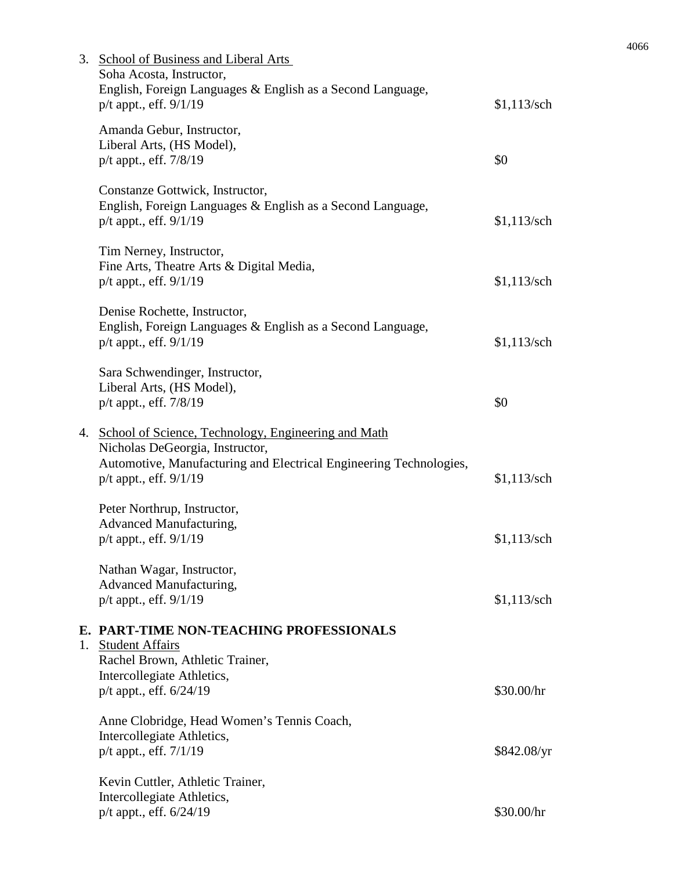| 3. | <b>School of Business and Liberal Arts</b><br>Soha Acosta, Instructor,<br>English, Foreign Languages & English as a Second Language,<br>$p/t$ appt., eff. $9/1/19$                        | $$1,113$ /sch |
|----|-------------------------------------------------------------------------------------------------------------------------------------------------------------------------------------------|---------------|
|    | Amanda Gebur, Instructor,<br>Liberal Arts, (HS Model),<br>p/t appt., eff. 7/8/19                                                                                                          | \$0           |
|    | Constanze Gottwick, Instructor,<br>English, Foreign Languages & English as a Second Language,<br>$p/t$ appt., eff. $9/1/19$                                                               | $$1,113$ /sch |
|    | Tim Nerney, Instructor,<br>Fine Arts, Theatre Arts & Digital Media,<br>p/t appt., eff. 9/1/19                                                                                             | $$1,113$ /sch |
|    | Denise Rochette, Instructor,<br>English, Foreign Languages & English as a Second Language,<br>$p/t$ appt., eff. $9/1/19$                                                                  | $$1,113$ /sch |
|    | Sara Schwendinger, Instructor,<br>Liberal Arts, (HS Model),<br>p/t appt., eff. 7/8/19                                                                                                     | \$0           |
|    | 4. School of Science, Technology, Engineering and Math<br>Nicholas DeGeorgia, Instructor,<br>Automotive, Manufacturing and Electrical Engineering Technologies,<br>p/t appt., eff. 9/1/19 | $$1,113$ /sch |
|    | Peter Northrup, Instructor,<br>Advanced Manufacturing,<br>p/t appt., eff. 9/1/19                                                                                                          | $$1,113$ /sch |
|    | Nathan Wagar, Instructor,<br>Advanced Manufacturing,<br>$p/t$ appt., eff. $9/1/19$                                                                                                        | $$1,113$ /sch |
|    | E. PART-TIME NON-TEACHING PROFESSIONALS<br>1. Student Affairs                                                                                                                             |               |
|    | Rachel Brown, Athletic Trainer,<br>Intercollegiate Athletics,<br>$p/t$ appt., eff. $6/24/19$                                                                                              | \$30.00/hr    |
|    | Anne Clobridge, Head Women's Tennis Coach,<br>Intercollegiate Athletics,                                                                                                                  |               |
|    | p/t appt., eff. 7/1/19                                                                                                                                                                    | \$842.08/yr   |
|    | Kevin Cuttler, Athletic Trainer,<br>Intercollegiate Athletics,<br>p/t appt., eff. 6/24/19                                                                                                 | \$30.00/hr    |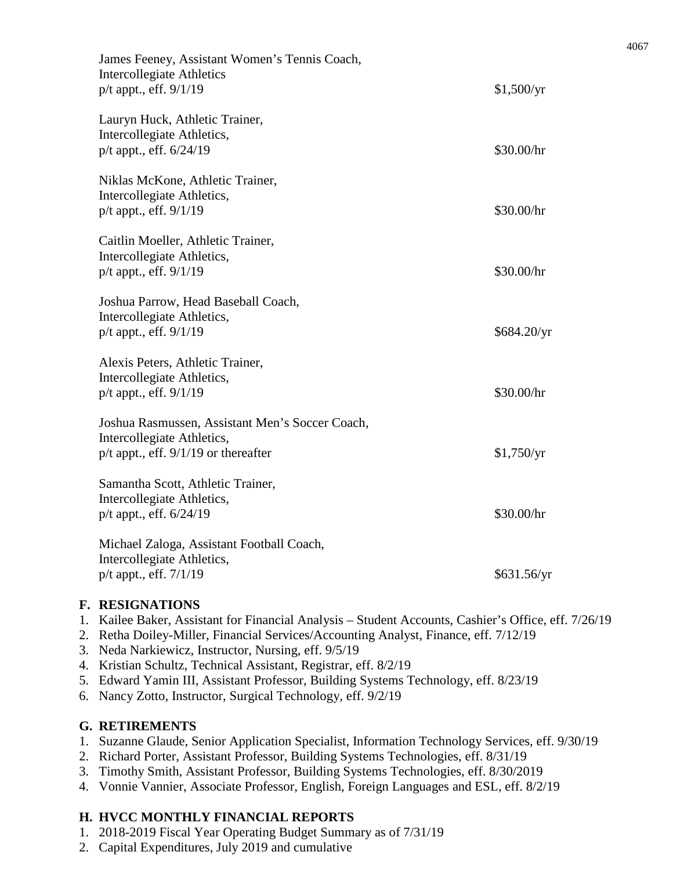| James Feeney, Assistant Women's Tennis Coach,<br><b>Intercollegiate Athletics</b><br>$p/t$ appt., eff. $9/1/19$           | \$1,500/yr  |
|---------------------------------------------------------------------------------------------------------------------------|-------------|
| Lauryn Huck, Athletic Trainer,<br>Intercollegiate Athletics,<br>$p/t$ appt., eff. $6/24/19$                               | \$30.00/hr  |
| Niklas McKone, Athletic Trainer,<br>Intercollegiate Athletics,<br>p/t appt., eff. 9/1/19                                  | \$30.00/hr  |
| Caitlin Moeller, Athletic Trainer,<br>Intercollegiate Athletics,<br>p/t appt., eff. 9/1/19                                | \$30.00/hr  |
| Joshua Parrow, Head Baseball Coach,<br>Intercollegiate Athletics,<br>p/t appt., eff. 9/1/19                               | \$684.20/yr |
| Alexis Peters, Athletic Trainer,<br>Intercollegiate Athletics,<br>$p/t$ appt., eff. $9/1/19$                              | \$30.00/hr  |
| Joshua Rasmussen, Assistant Men's Soccer Coach,<br>Intercollegiate Athletics,<br>$p/t$ appt., eff. $9/1/19$ or thereafter | \$1,750/yr  |
| Samantha Scott, Athletic Trainer,<br>Intercollegiate Athletics,<br>$p/t$ appt., eff. $6/24/19$                            | \$30.00/hr  |
| Michael Zaloga, Assistant Football Coach,<br>Intercollegiate Athletics,<br>p/t appt., eff. 7/1/19                         | \$631.56/yr |

# **F. RESIGNATIONS**

- 1. Kailee Baker, Assistant for Financial Analysis Student Accounts, Cashier's Office, eff. 7/26/19
- 2. Retha Doiley-Miller, Financial Services/Accounting Analyst, Finance, eff. 7/12/19
- 3. Neda Narkiewicz, Instructor, Nursing, eff. 9/5/19
- 4. Kristian Schultz, Technical Assistant, Registrar, eff. 8/2/19
- 5. Edward Yamin III, Assistant Professor, Building Systems Technology, eff. 8/23/19
- 6. Nancy Zotto, Instructor, Surgical Technology, eff. 9/2/19

### **G. RETIREMENTS**

- 1. Suzanne Glaude, Senior Application Specialist, Information Technology Services, eff. 9/30/19
- 2. Richard Porter, Assistant Professor, Building Systems Technologies, eff. 8/31/19
- 3. Timothy Smith, Assistant Professor, Building Systems Technologies, eff. 8/30/2019
- 4. Vonnie Vannier, Associate Professor, English, Foreign Languages and ESL, eff. 8/2/19

# **H. HVCC MONTHLY FINANCIAL REPORTS**

- 1. 2018-2019 Fiscal Year Operating Budget Summary as of 7/31/19
- 2. Capital Expenditures, July 2019 and cumulative